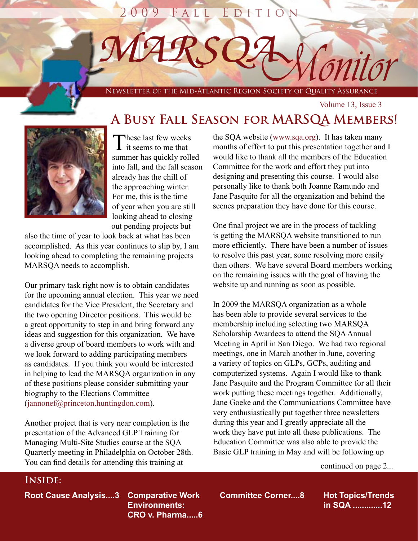# 09 FALL EDITIO

*M A R S Q A*

NEWS COMIT OF THE MID-ATLANTIC REGION SOCIETY OF QUALITY ASSURANCE

**A Busy Fall Season for MARSQA Members!**

Volume 13, Issue 3

٦

These last few weeks **i** it seems to me that summer has quickly rolled into fall, and the fall season already has the chill of the approaching winter. For me, this is the time of year when you are still looking ahead to closing out pending projects but

also the time of year to look back at what has been accomplished. As this year continues to slip by, I am looking ahead to completing the remaining projects MARSQA needs to accomplish.

Our primary task right now is to obtain candidates for the upcoming annual election. This year we need candidates for the Vice President, the Secretary and the two opening Director positions. This would be a great opportunity to step in and bring forward any ideas and suggestion for this organization. We have a diverse group of board members to work with and we look forward to adding participating members as candidates. If you think you would be interested in helping to lead the MARSQA organization in any of these positions please consider submitting your biography to the Elections Committee (jannonef@princeton.huntingdon.com).

Another project that is very near completion is the presentation of the Advanced GLP Training for Managing Multi-Site Studies course at the SQA Quarterly meeting in Philadelphia on October 28th. You can find details for attending this training at

the SQA website (www.sqa.org). It has taken many months of effort to put this presentation together and I would like to thank all the members of the Education Committee for the work and effort they put into designing and presenting this course. I would also personally like to thank both Joanne Ramundo and Jane Pasquito for all the organization and behind the scenes preparation they have done for this course.

One final project we are in the process of tackling is getting the MARSQA website transitioned to run more efficiently. There have been a number of issues to resolve this past year, some resolving more easily than others. We have several Board members working on the remaining issues with the goal of having the website up and running as soon as possible.

In 2009 the MARSQA organization as a whole has been able to provide several services to the membership including selecting two MARSQA Scholarship Awardees to attend the SQA Annual Meeting in April in San Diego. We had two regional meetings, one in March another in June, covering a variety of topics on GLPs, GCPs, auditing and computerized systems. Again I would like to thank Jane Pasquito and the Program Committee for all their work putting these meetings together. Additionally, Jane Goeke and the Communications Committee have very enthusiastically put together three newsletters during this year and I greatly appreciate all the work they have put into all these publications. The Education Committee was also able to provide the Basic GLP training in May and will be following up

continued on page 2...

### **Inside:**

**Root Cause Analysis....3 Comparative Work Committee Corner....8**

**Environments: CRO v. Pharma.....6**

**Hot Topics/Trends in SQA .............12**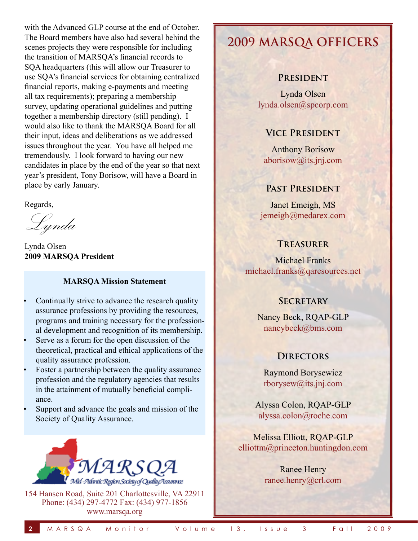with the Advanced GLP course at the end of October. The Board members have also had several behind the scenes projects they were responsible for including the transition of MARSQA's financial records to SQA headquarters (this will allow our Treasurer to use SQA's financial services for obtaining centralized financial reports, making e-payments and meeting all tax requirements); preparing a membership survey, updating operational guidelines and putting together a membership directory (still pending). I would also like to thank the MARSQA Board for all their input, ideas and deliberations as we addressed issues throughout the year. You have all helped me tremendously. I look forward to having our new candidates in place by the end of the year so that next year's president, Tony Borisow, will have a Board in place by early January.

Regards,

Lynda

Lynda Olsen **2009 MARSQA President**

#### **MARSQA Mission Statement**

- Continually strive to advance the research quality assurance professions by providing the resources, programs and training necessary for the professional development and recognition of its membership.
- Serve as a forum for the open discussion of the theoretical, practical and ethical applications of the quality assurance profession.
- Foster a partnership between the quality assurance profession and the regulatory agencies that results in the attainment of mutually beneficial compliance.
- Support and advance the goals and mission of the Society of Quality Assurance.



154 Hansen Road, Suite 201 Charlottesville, VA 22911 Phone: (434) 297-4772 Fax: (434) 977-1856 www.marsqa.org

# **2009 MARSQA OFFICERS**

### **President**

Lynda Olsen lynda.olsen@spcorp.com

### **Vice President**

Anthony Borisow aborisow@its.jnj.com

### **Past President**

Janet Emeigh, MS jemeigh@medarex.com

### **Treasurer**

Michael Franks michael.franks@qaresources.net

### **Secretary**

Nancy Beck, RQAP-GLP nancybeck@bms.com

### **Directors**

Raymond Borysewicz rborysew@its.jnj.com

Alyssa Colon, RQAP-GLP alyssa.colon@roche.com

Melissa Elliott, RQAP-GLP elliottm@princeton.huntingdon.com

> Ranee Henry ranee.henry@crl.com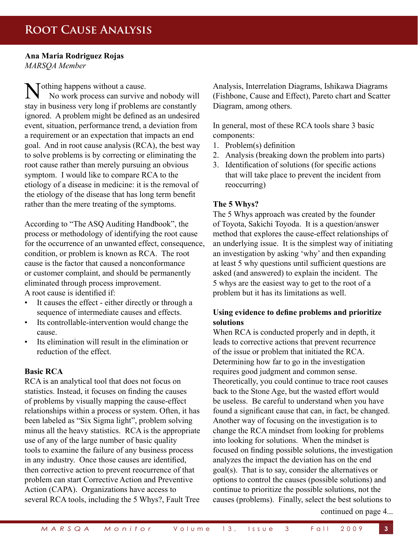### **Root Cause Analysis**

**Ana Maria Rodriguez Rojas** *MARSQA Member*

Nothing happens without a cause. No work process can survive and nobody will stay in business very long if problems are constantly ignored. A problem might be defined as an undesired event, situation, performance trend, a deviation from a requirement or an expectation that impacts an end goal. And in root cause analysis (RCA), the best way to solve problems is by correcting or eliminating the root cause rather than merely pursuing an obvious symptom. I would like to compare RCA to the etiology of a disease in medicine: it is the removal of the etiology of the disease that has long term benefit rather than the mere treating of the symptoms.

According to "The ASQ Auditing Handbook", the process or methodology of identifying the root cause for the occurrence of an unwanted effect, consequence, condition, or problem is known as RCA. The root cause is the factor that caused a nonconformance or customer complaint, and should be permanently eliminated through process improvement. A root cause is identified if:

- It causes the effect either directly or through a sequence of intermediate causes and effects.
- Its controllable-intervention would change the cause.
- Its elimination will result in the elimination or reduction of the effect.

### **Basic RCA**

RCA is an analytical tool that does not focus on statistics. Instead, it focuses on finding the causes of problems by visually mapping the cause-effect relationships within a process or system. Often, it has been labeled as "Six Sigma light", problem solving minus all the heavy statistics. RCA is the appropriate use of any of the large number of basic quality tools to examine the failure of any business process in any industry. Once those causes are identified, then corrective action to prevent reocurrence of that problem can start Corrective Action and Preventive Action (CAPA). Organizations have access to several RCA tools, including the 5 Whys?, Fault Tree Analysis, Interrelation Diagrams, Ishikawa Diagrams (Fishbone, Cause and Effect), Pareto chart and Scatter Diagram, among others.

In general, most of these RCA tools share 3 basic components:

- 1. Problem(s) definition
- 2. Analysis (breaking down the problem into parts)
- 3. Identification of solutions (for specific actions that will take place to prevent the incident from reoccurring)

#### **The 5 Whys?**

The 5 Whys approach was created by the founder of Toyota, Sakichi Toyoda. It is a question/answer method that explores the cause-effect relationships of an underlying issue. It is the simplest way of initiating an investigation by asking 'why' and then expanding at least 5 why questions until sufficient questions are asked (and answered) to explain the incident. The 5 whys are the easiest way to get to the root of a problem but it has its limitations as well.

### **Using evidence to define problems and prioritize solutions**

When RCA is conducted properly and in depth, it leads to corrective actions that prevent recurrence of the issue or problem that initiated the RCA. Determining how far to go in the investigation requires good judgment and common sense. Theoretically, you could continue to trace root causes back to the Stone Age, but the wasted effort would be useless. Be careful to understand when you have found a significant cause that can, in fact, be changed. Another way of focusing on the investigation is to change the RCA mindset from looking for problems into looking for solutions. When the mindset is focused on finding possible solutions, the investigation analyzes the impact the deviation has on the end goal(s). That is to say, consider the alternatives or options to control the causes (possible solutions) and continue to prioritize the possible solutions, not the causes (problems). Finally, select the best solutions to

continued on page 4...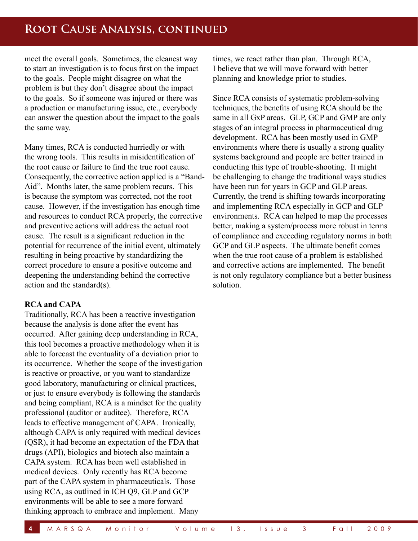meet the overall goals. Sometimes, the cleanest way to start an investigation is to focus first on the impact to the goals. People might disagree on what the problem is but they don't disagree about the impact to the goals. So if someone was injured or there was a production or manufacturing issue, etc., everybody can answer the question about the impact to the goals the same way.

Many times, RCA is conducted hurriedly or with the wrong tools. This results in misidentification of the root cause or failure to find the true root cause. Consequently, the corrective action applied is a "Band-Aid". Months later, the same problem recurs. This is because the symptom was corrected, not the root cause. However, if the investigation has enough time and resources to conduct RCA properly, the corrective and preventive actions will address the actual root cause. The result is a significant reduction in the potential for recurrence of the initial event, ultimately resulting in being proactive by standardizing the correct procedure to ensure a positive outcome and deepening the understanding behind the corrective action and the standard(s).

### **RCA and CAPA**

Traditionally, RCA has been a reactive investigation because the analysis is done after the event has occurred. After gaining deep understanding in RCA, this tool becomes a proactive methodology when it is able to forecast the eventuality of a deviation prior to its occurrence. Whether the scope of the investigation is reactive or proactive, or you want to standardize good laboratory, manufacturing or clinical practices, or just to ensure everybody is following the standards and being compliant, RCA is a mindset for the quality professional (auditor or auditee). Therefore, RCA leads to effective management of CAPA. Ironically, although CAPA is only required with medical devices (QSR), it had become an expectation of the FDA that drugs (API), biologics and biotech also maintain a CAPA system. RCA has been well established in medical devices. Only recently has RCA become part of the CAPA system in pharmaceuticals. Those using RCA, as outlined in ICH Q9, GLP and GCP environments will be able to see a more forward thinking approach to embrace and implement. Many

times, we react rather than plan. Through RCA, I believe that we will move forward with better planning and knowledge prior to studies.

Since RCA consists of systematic problem-solving techniques, the benefits of using RCA should be the same in all GxP areas. GLP, GCP and GMP are only stages of an integral process in pharmaceutical drug development. RCA has been mostly used in GMP environments where there is usually a strong quality systems background and people are better trained in conducting this type of trouble-shooting. It might be challenging to change the traditional ways studies have been run for years in GCP and GLP areas. Currently, the trend is shifting towards incorporating and implementing RCA especially in GCP and GLP environments. RCA can helped to map the processes better, making a system/process more robust in terms of compliance and exceeding regulatory norms in both GCP and GLP aspects. The ultimate benefit comes when the true root cause of a problem is established and corrective actions are implemented. The benefit is not only regulatory compliance but a better business solution.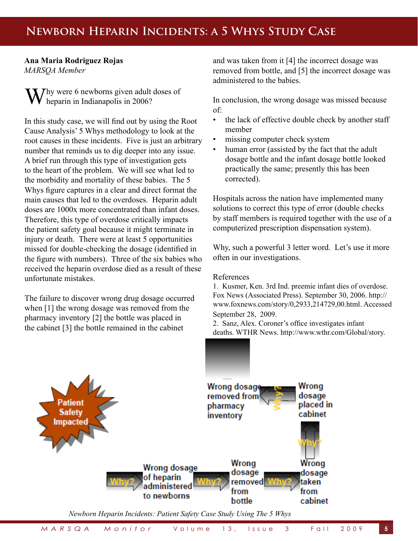## **Newborn Heparin Incidents: a 5 Whys Study Case**

### **Ana Maria Rodriguez Rojas** *MARSQA Member*

Thy were 6 newborns given adult doses of heparin in Indianapolis in 2006?

In this study case, we will find out by using the Root Cause Analysis' 5 Whys methodology to look at the root causes in these incidents. Five is just an arbitrary number that reminds us to dig deeper into any issue. A brief run through this type of investigation gets to the heart of the problem. We will see what led to the morbidity and mortality of these babies. The 5 Whys figure captures in a clear and direct format the main causes that led to the overdoses. Heparin adult doses are 1000x more concentrated than infant doses. Therefore, this type of overdose critically impacts the patient safety goal because it might terminate in injury or death. There were at least 5 opportunities missed for double-checking the dosage (identified in the figure with numbers). Three of the six babies who received the heparin overdose died as a result of these unfortunate mistakes.

The failure to discover wrong drug dosage occurred when [1] the wrong dosage was removed from the pharmacy inventory [2] the bottle was placed in the cabinet [3] the bottle remained in the cabinet

and was taken from it [4] the incorrect dosage was removed from bottle, and [5] the incorrect dosage was administered to the babies.

In conclusion, the wrong dosage was missed because of:

- the lack of effective double check by another staff member
- missing computer check system
- human error (assisted by the fact that the adult dosage bottle and the infant dosage bottle looked practically the same; presently this has been corrected).

Hospitals across the nation have implemented many solutions to correct this type of error (double checks by staff members is required together with the use of a computerized prescription dispensation system).

Why, such a powerful 3 letter word. Let's use it more often in our investigations.

#### References

1. Kusmer, Ken. 3rd Ind. preemie infant dies of overdose. Fox News (Associated Press). September 30, 2006. http:// www.foxnews.com/story/0,2933,214729,00.html. Accessed September 28, 2009.

2. Sanz, Alex. Coroner's office investigates infant deaths. WTHR News. http://www.wthr.com/Global/story.

asp?s=541880. Accessed September 28, 2009. Accessed September 28, 2009. Accessed September 28, 2009. Accessed

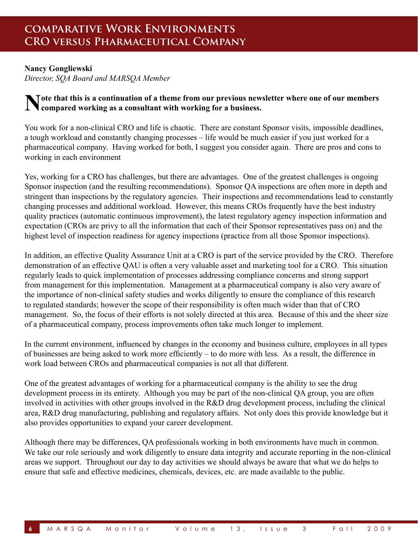### **Nancy Gongliewski**

*Director, SQA Board and MARSQA Member* 

### **Note that this is a continuation of a theme from our previous newsletter where one of our members compared working as a consultant with working for a business.**

You work for a non-clinical CRO and life is chaotic. There are constant Sponsor visits, impossible deadlines, a tough workload and constantly changing processes – life would be much easier if you just worked for a pharmaceutical company. Having worked for both, I suggest you consider again. There are pros and cons to working in each environment

Yes, working for a CRO has challenges, but there are advantages. One of the greatest challenges is ongoing Sponsor inspection (and the resulting recommendations). Sponsor QA inspections are often more in depth and stringent than inspections by the regulatory agencies. Their inspections and recommendations lead to constantly changing processes and additional workload. However, this means CROs frequently have the best industry quality practices (automatic continuous improvement), the latest regulatory agency inspection information and expectation (CROs are privy to all the information that each of their Sponsor representatives pass on) and the highest level of inspection readiness for agency inspections (practice from all those Sponsor inspections).

In addition, an effective Quality Assurance Unit at a CRO is part of the service provided by the CRO. Therefore demonstration of an effective QAU is often a very valuable asset and marketing tool for a CRO. This situation regularly leads to quick implementation of processes addressing compliance concerns and strong support from management for this implementation. Management at a pharmaceutical company is also very aware of the importance of non-clinical safety studies and works diligently to ensure the compliance of this research to regulated standards; however the scope of their responsibility is often much wider than that of CRO management. So, the focus of their efforts is not solely directed at this area. Because of this and the sheer size of a pharmaceutical company, process improvements often take much longer to implement.

In the current environment, influenced by changes in the economy and business culture, employees in all types of businesses are being asked to work more efficiently – to do more with less. As a result, the difference in work load between CROs and pharmaceutical companies is not all that different.

One of the greatest advantages of working for a pharmaceutical company is the ability to see the drug development process in its entirety. Although you may be part of the non-clinical QA group, you are often involved in activities with other groups involved in the R&D drug development process, including the clinical area, R&D drug manufacturing, publishing and regulatory affairs. Not only does this provide knowledge but it also provides opportunities to expand your career development.

Although there may be differences, QA professionals working in both environments have much in common. We take our role seriously and work diligently to ensure data integrity and accurate reporting in the non-clinical areas we support. Throughout our day to day activities we should always be aware that what we do helps to ensure that safe and effective medicines, chemicals, devices, etc. are made available to the public.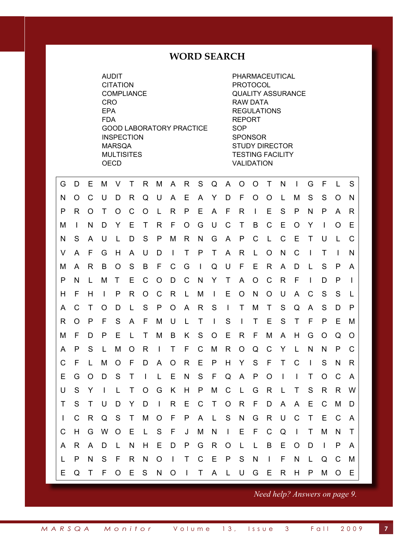### **WORD SEARCH**

AUDIT PHARMACEUTICAL CITATION PROTOCOL COMPLIANCE QUALITY ASSURANCE CRO RAW DATA EPA REGULATIONS FDA REPORT GOOD LABORATORY PRACTICE SOP INSPECTION SPONSOR MARSQA STUDY DIRECTOR MULTISITES **TESTING FACILITY** OECD VALIDATION

| G            | D            | Е        | M            | V            | Τ | R            | M            | A,             | R | S            | Q            | A            | $\circ$      | $\circ$ | $\top$       | N              | $\mathbf{I}$ | G              | F            | $\mathbf{L}$ | S            |
|--------------|--------------|----------|--------------|--------------|---|--------------|--------------|----------------|---|--------------|--------------|--------------|--------------|---------|--------------|----------------|--------------|----------------|--------------|--------------|--------------|
| N            | $\Omega$     | C        | U            | D            | R | Q            | U            | A              | Е | A            | Y            | D            | F            | O       | O            | L              | M            | S              | S            | O            | N            |
| P            | R            | O        | Т            | $\Omega$     | C | O            | L            | R              | P | Е            | A            | F            | R            | $\perp$ | Е            | S              | P            | N              | P            | A            | R            |
| м            | $\mathbf{I}$ | N        | D            | Y            | Е | т            | R.           | F              | O | G            | U            | C            | Τ            | B       | $\mathsf{C}$ | Е              | O            | Y              | $\mathbf{I}$ | O            | Е            |
| N            | S            | A        | U            | L            | D | S            | P            | M              | R | N            | G            | A            | P            | C       | $\mathsf{L}$ | C              | Е            | Τ              | U            | L            | C            |
| V            | A            | F        | G            | H            | A | U            | D            | $\blacksquare$ | T | P            | $\mathsf{T}$ | $\mathsf{A}$ | R            | L       | O            | N              | C            | $\blacksquare$ | Τ            | $\mathbf{I}$ | N            |
| M            | A            | R        | B            | O            | S | B            | F            | C              | G | $\mathbf{I}$ | Q            | U            | F            | Е       | R            | A              | D            | L              | S            | P            | A            |
| P            | N            | L        | M            | Τ            | Е | C            | O            | D              | C | N            | Y            | T            | A            | O       | $\mathsf{C}$ | R              | F            | $\mathbf{I}$   | D            | P            | $\mathbf{I}$ |
| H            | F            | Н        | $\mathbf{I}$ | P            | R | O            | C            | R              | L | M            | $\mathbf{I}$ | Е            | $\circ$      | N       | O            | U              | A            | C              | S            | S            | L            |
| A            | C            | Τ        | O            | D            | L | S            | P            | $\circ$        | A | R            | S            | $\mathbf{I}$ | T            | M       | $\mathsf{T}$ | S              | Q            | A              | S            | D            | P            |
| R            | O            | P        | F            | S            | A | F            | М            | U              | L | $\mathsf{T}$ | $\mathbf{I}$ | S            | $\mathbf{I}$ | $\top$  | Е            | S              | Τ            | F              | P            | Е            | M            |
| M            | F            | D        | P            | Е            | L | Τ            | M            | B              | K | S            | O            | Е            | R            | F       | M            | A              | H            | G              | O            | Q            | O            |
| A            | P            | S        | L            | M            | O | R            | $\mathbf{I}$ | $\mathsf{T}$   | F | $\mathsf{C}$ | M            | R            | $\circ$      | Q       | $\mathsf{C}$ | Y              | L            | N              | N            | P            | C            |
| C            | F            | L        | M            | O            | F | D            | A            | O              | R | Е            | P            | H            | Y            | S       | F            | T              | C            | $\mathbf{I}$   | S            | N            | R            |
| Е            | G            | $\Omega$ | D            | S            | Τ | $\mathbf{I}$ | L            | Е              | N | S            | F            | Q            | A            | P       | O            | $\blacksquare$ | $\mathbf{I}$ | T              | O            | C            | A            |
| U            | S            | Y        | I.           | $\mathbf{L}$ | Τ | O            | G            | K              | H | P            | M            | C            | L            | G       | R            | L              | T            | S              | R            | R            | W            |
| Τ            | S            | Τ        | U            | D            | Y | D            | $\mathbf{I}$ | R              | Ε | C            | $\top$       | O            | R            | F       | D            | A              | A            | Е              | C            | M            | D            |
| $\mathbf{I}$ | C            | R        | Q            | S            | Τ | M            | O            | F              | P | A            | $\mathsf{L}$ | S            | N            | G       | R            | U              | C            | Τ              | Е            | C            | A            |
| C            | H            | G        | W            | O            | Е | L            | S            | F              | J | M            | N            | $\mathbf{I}$ | Е            | F       | C            | Q              | $\mathbf{I}$ | Τ              | M            | N            | Τ            |
| A            | R            | A        | D            | L            | N | Н            | Е            | D              | P | G            | R            | O            | L            | L       | B            | Ε              | O            | D              | $\mathbf{I}$ | P            | A            |
| L            | P            | N        | S            | F            | R | N            | O            | $\blacksquare$ | T | $\mathsf{C}$ | Е            | P            | S            | N       | $\mathbf{I}$ | F              | $\mathsf{N}$ | L              | Q            | C            | M            |
| Е            | Q            | Τ        | F            | O            | Е | S            | N            | O              | T | T            | A            | L            | U            | G       | E            | R              | H            | P              | M            | O            | Е            |

*Need help? Answers on page 9.*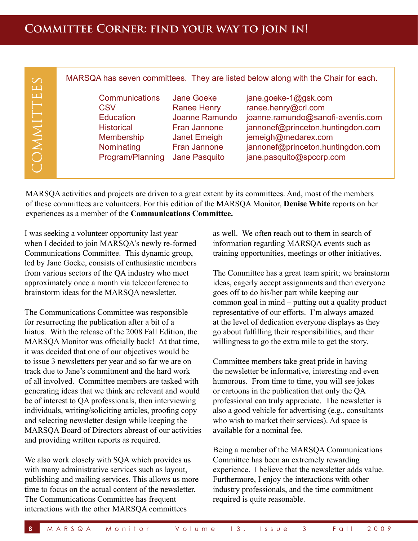| $\Box$<br><b>Communications</b><br>Jane Goeke<br>jane.goeke-1@gsk.com<br>NNITT<br>ranee.henry@crl.com<br><b>Ranee Henry</b><br>CSV<br>Joanne Ramundo<br>joanne.ramundo@sanofi-aventis.com<br><b>Education</b><br>jannonef@princeton.huntingdon.com<br>Fran Jannone<br><b>Historical</b><br>jemeigh@medarex.com<br>Membership<br>Janet Emeigh<br>Nominating<br>jannonef@princeton.huntingdon.com<br>Fran Jannone<br>Program/Planning<br>jane.pasquito@spcorp.com<br>Jane Pasquito<br>e i | $\infty$<br>$\begin{array}{c} \boxed{11} \end{array}$ |  | MARSQA has seven committees. They are listed below along with the Chair for each. |
|-----------------------------------------------------------------------------------------------------------------------------------------------------------------------------------------------------------------------------------------------------------------------------------------------------------------------------------------------------------------------------------------------------------------------------------------------------------------------------------------|-------------------------------------------------------|--|-----------------------------------------------------------------------------------|
|                                                                                                                                                                                                                                                                                                                                                                                                                                                                                         |                                                       |  |                                                                                   |

MARSQA activities and projects are driven to a great extent by its committees. And, most of the members of these committees are volunteers. For this edition of the MARSQA Monitor, **Denise White** reports on her experiences as a member of the **Communications Committee.**

I was seeking a volunteer opportunity last year when I decided to join MARSQA's newly re-formed Communications Committee. This dynamic group, led by Jane Goeke, consists of enthusiastic members from various sectors of the QA industry who meet approximately once a month via teleconference to brainstorm ideas for the MARSQA newsletter.

The Communications Committee was responsible for resurrecting the publication after a bit of a hiatus. With the release of the 2008 Fall Edition, the MARSQA Monitor was officially back! At that time, it was decided that one of our objectives would be to issue 3 newsletters per year and so far we are on track due to Jane's commitment and the hard work of all involved. Committee members are tasked with generating ideas that we think are relevant and would be of interest to QA professionals, then interviewing individuals, writing/soliciting articles, proofing copy and selecting newsletter design while keeping the MARSQA Board of Directors abreast of our activities and providing written reports as required.

We also work closely with SQA which provides us with many administrative services such as layout, publishing and mailing services. This allows us more time to focus on the actual content of the newsletter. The Communications Committee has frequent interactions with the other MARSQA committees

as well. We often reach out to them in search of information regarding MARSQA events such as training opportunities, meetings or other initiatives.

The Committee has a great team spirit; we brainstorm ideas, eagerly accept assignments and then everyone goes off to do his/her part while keeping our common goal in mind – putting out a quality product representative of our efforts. I'm always amazed at the level of dedication everyone displays as they go about fulfilling their responsibilities, and their willingness to go the extra mile to get the story.

Committee members take great pride in having the newsletter be informative, interesting and even humorous. From time to time, you will see jokes or cartoons in the publication that only the QA professional can truly appreciate. The newsletter is also a good vehicle for advertising (e.g., consultants who wish to market their services). Ad space is available for a nominal fee.

Being a member of the MARSQA Communications Committee has been an extremely rewarding experience. I believe that the newsletter adds value. Furthermore, I enjoy the interactions with other industry professionals, and the time commitment required is quite reasonable.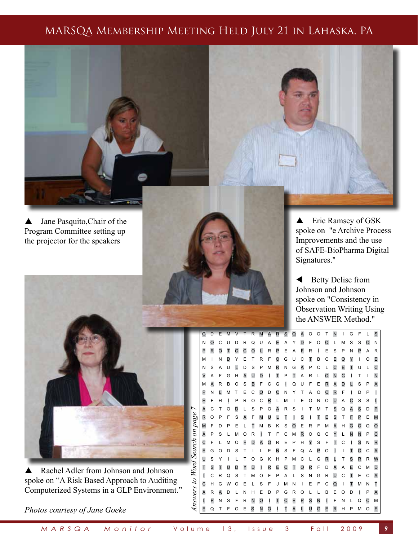### MARSQA Membership Meeting Held July 21 in Lahaska, PA



▲ Jane Pasquito, Chair of the Program Committee setting up the projector for the speakers



▲ Eric Ramsey of GSK spoke on "e Archive Process Improvements and the use of SAFE-BioPharma Digital **Signatures."** 

 $\blacktriangle$  Betty Delise from **Johnson and Johnson EXAMPLE Spoke on "Consistency in INSPECTION SPONSOR USING CONSERVATION Writing Using THE ANSWER Method."** 

G D E M V T R M A R S Q A O O T N I G F L S N O C U D R Q U A E A Y D F O O L M S S O N P R O T O C O L R P E A F R I E S P N P A R M I N D Y E T R F O G U C T B C E O Y I O E N S A U L D S P M R N G A P C L C E T U L C V A F G H A U D I T P T A R L O N C I T I N M A R B O S B F C G I Q U F E R A D L S P A P N L M T E C O D C N Y T A O C R F I D P I H F H I P R O C R L M I E O N O U A C S S L *Answers to Word Search on page 7* A C T O D L S P O A R S I T M T S Q A S D P Answers to Word Search on page R O P F S A F M U L T I S I T E S T F P E M M F D P E L T M B K S O E R F M A H G O Q O A P S L M O R I T F C M R O Q C Y L N N P C C F L M O F D A O R E P H Y S F T C I S N R E G O D S T I L E N S F Q A P O I I T O C A U S Y I L T O G K H P M C L G R L T S R R W T S T U D Y D I R E C T O R F D A A E C M D I C R Q S T M O F P A L S N G R U C T E C A C H G W O E L S F J M N I E F C Q I T M N T A R A D L N H E D P G R O L L B E O D I P A L P N S F R N O I T C E P S N I F N L Q C M E Q T F O E S N O I T A L U G E R H P M O E



A Rachel Adler from Johnson and Johnson spoke on "A Risk Based Approach to Auditing Computerized Systems in a GLP Environment."

*Photos courtesy of Jane Goeke*

*M A R S Q A M o n i t o r* V o l u m e 1 3 , I s s u e 3 F a l l 2 0 0 9 **9**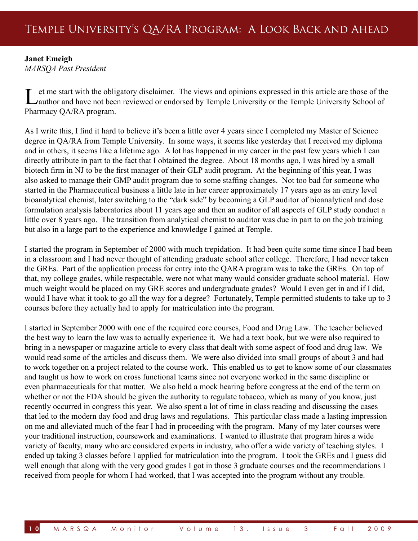### **Janet Emeigh**

*MARSQA Past President*

Let me start with the obligatory disclaimer. The views and opinions expressed in this article are those of the author and have not been reviewed or endorsed by Temple University or the Temple University School of Pharmacy QA/RA program.

As I write this, I find it hard to believe it's been a little over 4 years since I completed my Master of Science degree in QA/RA from Temple University. In some ways, it seems like yesterday that I received my diploma and in others, it seems like a lifetime ago. A lot has happened in my career in the past few years which I can directly attribute in part to the fact that I obtained the degree. About 18 months ago, I was hired by a small biotech firm in NJ to be the first manager of their GLP audit program. At the beginning of this year, I was also asked to manage their GMP audit program due to some staffing changes. Not too bad for someone who started in the Pharmaceutical business a little late in her career approximately 17 years ago as an entry level bioanalytical chemist, later switching to the "dark side" by becoming a GLP auditor of bioanalytical and dose formulation analysis laboratories about 11 years ago and then an auditor of all aspects of GLP study conduct a little over 8 years ago. The transition from analytical chemist to auditor was due in part to on the job training but also in a large part to the experience and knowledge I gained at Temple.

I started the program in September of 2000 with much trepidation. It had been quite some time since I had been in a classroom and I had never thought of attending graduate school after college. Therefore, I had never taken the GREs. Part of the application process for entry into the QARA program was to take the GREs. On top of that, my college grades, while respectable, were not what many would consider graduate school material. How much weight would be placed on my GRE scores and undergraduate grades? Would I even get in and if I did, would I have what it took to go all the way for a degree? Fortunately, Temple permitted students to take up to 3 courses before they actually had to apply for matriculation into the program.

I started in September 2000 with one of the required core courses, Food and Drug Law. The teacher believed the best way to learn the law was to actually experience it. We had a text book, but we were also required to bring in a newspaper or magazine article to every class that dealt with some aspect of food and drug law. We would read some of the articles and discuss them. We were also divided into small groups of about 3 and had to work together on a project related to the course work. This enabled us to get to know some of our classmates and taught us how to work on cross functional teams since not everyone worked in the same discipline or even pharmaceuticals for that matter. We also held a mock hearing before congress at the end of the term on whether or not the FDA should be given the authority to regulate tobacco, which as many of you know, just recently occurred in congress this year. We also spent a lot of time in class reading and discussing the cases that led to the modern day food and drug laws and regulations. This particular class made a lasting impression on me and alleviated much of the fear I had in proceeding with the program. Many of my later courses were your traditional instruction, coursework and examinations. I wanted to illustrate that program hires a wide variety of faculty, many who are considered experts in industry, who offer a wide variety of teaching styles. I ended up taking 3 classes before I applied for matriculation into the program. I took the GREs and I guess did well enough that along with the very good grades I got in those 3 graduate courses and the recommendations I received from people for whom I had worked, that I was accepted into the program without any trouble.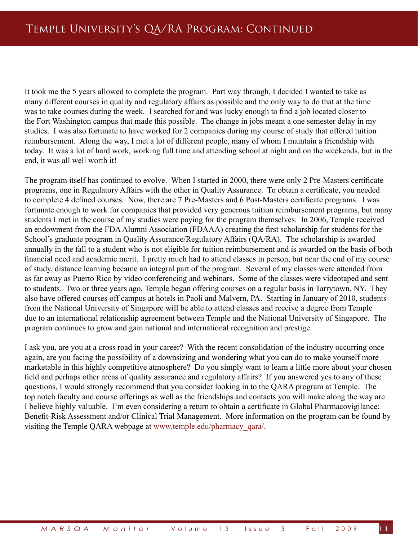It took me the 5 years allowed to complete the program. Part way through, I decided I wanted to take as many different courses in quality and regulatory affairs as possible and the only way to do that at the time was to take courses during the week. I searched for and was lucky enough to find a job located closer to the Fort Washington campus that made this possible. The change in jobs meant a one semester delay in my studies. I was also fortunate to have worked for 2 companies during my course of study that offered tuition reimbursement. Along the way, I met a lot of different people, many of whom I maintain a friendship with today. It was a lot of hard work, working full time and attending school at night and on the weekends, but in the end, it was all well worth it!

The program itself has continued to evolve. When I started in 2000, there were only 2 Pre-Masters certificate programs, one in Regulatory Affairs with the other in Quality Assurance. To obtain a certificate, you needed to complete 4 defined courses. Now, there are 7 Pre-Masters and 6 Post-Masters certificate programs. I was fortunate enough to work for companies that provided very generous tuition reimbursement programs, but many students I met in the course of my studies were paying for the program themselves. In 2006, Temple received an endowment from the FDA Alumni Association (FDAAA) creating the first scholarship for students for the School's graduate program in Quality Assurance/Regulatory Affairs (QA/RA). The scholarship is awarded annually in the fall to a student who is not eligible for tuition reimbursement and is awarded on the basis of both financial need and academic merit. I pretty much had to attend classes in person, but near the end of my course of study, distance learning became an integral part of the program. Several of my classes were attended from as far away as Puerto Rico by video conferencing and webinars. Some of the classes were videotaped and sent to students. Two or three years ago, Temple began offering courses on a regular basis in Tarrytown, NY. They also have offered courses off campus at hotels in Paoli and Malvern, PA. Starting in January of 2010, students from the National University of Singapore will be able to attend classes and receive a degree from Temple due to an international relationship agreement between Temple and the National University of Singapore. The program continues to grow and gain national and international recognition and prestige.

I ask you, are you at a cross road in your career? With the recent consolidation of the industry occurring once again, are you facing the possibility of a downsizing and wondering what you can do to make yourself more marketable in this highly competitive atmosphere? Do you simply want to learn a little more about your chosen field and perhaps other areas of quality assurance and regulatory affairs? If you answered yes to any of these questions, I would strongly recommend that you consider looking in to the QARA program at Temple. The top notch faculty and course offerings as well as the friendships and contacts you will make along the way are I believe highly valuable. I'm even considering a return to obtain a certificate in Global Pharmacovigilance: Benefit-Risk Assessment and/or Clinical Trial Management. More information on the program can be found by visiting the Temple QARA webpage at www.temple.edu/pharmacy\_qara/.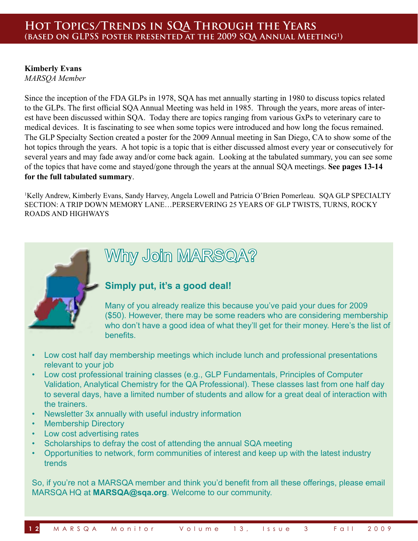### **Hot Topics/Trends in SQA Through the Years (based on GLPSS poster presented at the 2009 SQA Annual Meeting1)**

### **Kimberly Evans**

*MARSQA Member*

Since the inception of the FDA GLPs in 1978, SQA has met annually starting in 1980 to discuss topics related to the GLPs. The first official SQA Annual Meeting was held in 1985. Through the years, more areas of interest have been discussed within SQA. Today there are topics ranging from various GxPs to veterinary care to medical devices. It is fascinating to see when some topics were introduced and how long the focus remained. The GLP Specialty Section created a poster for the 2009 Annual meeting in San Diego, CA to show some of the hot topics through the years. A hot topic is a topic that is either discussed almost every year or consecutively for several years and may fade away and/or come back again. Looking at the tabulated summary, you can see some of the topics that have come and stayed/gone through the years at the annual SQA meetings. **See pages 13-14 for the full tabulated summary**.

Kelly Andrew, Kimberly Evans, Sandy Harvey, Angela Lowell and Patricia O'Brien Pomerleau. SQA GLP SPECIALTY SECTION: A TRIP DOWN MEMORY LANE…PERSERVERING 25 YEARS OF GLP TWISTS, TURNS, ROCKY ROADS AND HIGHWAYS



# Why Join MARSQA?

### **Simply put, it's a good deal!**

Many of you already realize this because you've paid your dues for 2009 (\$50). However, there may be some readers who are considering membership who don't have a good idea of what they'll get for their money. Here's the list of benefits.

- Low cost half day membership meetings which include lunch and professional presentations relevant to your job
- Low cost professional training classes (e.g., GLP Fundamentals, Principles of Computer Validation, Analytical Chemistry for the QA Professional). These classes last from one half day to several days, have a limited number of students and allow for a great deal of interaction with the trainers.
- Newsletter 3x annually with useful industry information
- Membership Directory
- Low cost advertising rates
- Scholarships to defray the cost of attending the annual SQA meeting
- Opportunities to network, form communities of interest and keep up with the latest industry trends

So, if you're not a MARSQA member and think you'd benefit from all these offerings, please email MARSQA HQ at **MARSQA@sqa.org**. Welcome to our community.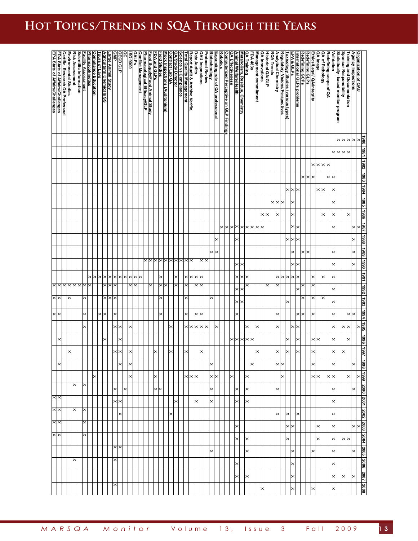# **Hot Topics/Trends in SQA Through the Years**

|                       |                                                                                                                                                      |   | Scientific Information<br>Risk Assessment | <b>Facility Assessment</b> |          |   | Agricultural Chemicals SS<br>Tours of Lavs<br>Compliance Education<br><u>P</u> harmacokinetics | Large Animal Study |                   | <b>OCCOOLE</b><br>OECDOLE |                       | <b>GALPS</b><br>BO 9000 | <b>Conflict Management</b> | Pharmacological Efficacy/GLP<br>Food Supply/Food Animal Study | FDA and GLPs | <b>Field Studies</b> | Mock Inspections (Auditonium) | Science vs Compliance<br>QA/Study Director<br>Contract Lab QA |          | <b>Total Quality Management</b> | Data Audits<br>Report Audit & Archive Verific. |          | <b>QAU</b> Inspections |          |                                                                                          |                            |                                                                    | Animal Welfare/Health | Metabolism, Residue, Chemistry | QA Training           | Management commitment<br>FDA 483s | QA Innovations | <b>Historical QA/GLP</b> | <b>RQA Trends</b>          |                                                         |              |                                                  | International GLPs problems |        | Ethics/Legal/ QA/Integrity<br>Redefining GLPs<br>Redefining GCPs | QA Image | QA of Pathology<br>Redefining scope of QA |                       |                                                                                     | <b>Training and Documentation</b> | Agency Inspections | Organization of QAU |                           |  |
|-----------------------|------------------------------------------------------------------------------------------------------------------------------------------------------|---|-------------------------------------------|----------------------------|----------|---|------------------------------------------------------------------------------------------------|--------------------|-------------------|---------------------------|-----------------------|-------------------------|----------------------------|---------------------------------------------------------------|--------------|----------------------|-------------------------------|---------------------------------------------------------------|----------|---------------------------------|------------------------------------------------|----------|------------------------|----------|------------------------------------------------------------------------------------------|----------------------------|--------------------------------------------------------------------|-----------------------|--------------------------------|-----------------------|-----------------------------------|----------------|--------------------------|----------------------------|---------------------------------------------------------|--------------|--------------------------------------------------|-----------------------------|--------|------------------------------------------------------------------|----------|-------------------------------------------|-----------------------|-------------------------------------------------------------------------------------|-----------------------------------|--------------------|---------------------|---------------------------|--|
|                       | Environmental Studies<br><u>Certific. Research QA Professnal</u><br><u>FDA State of Affairs/Challenges</u><br><u>FPA State of Affairs/Challenges</u> |   |                                           |                            |          |   |                                                                                                |                    |                   |                           |                       |                         |                            |                                                               |              |                      |                               |                                                               |          |                                 |                                                |          |                        |          | <u>Robotics</u><br>Expanding role of QA professional<br>Biotechnology<br>Protocol Review |                            | <u>QA Effectiveness</u><br>Computerized Perceptive on GLP Findings |                       |                                |                       |                                   |                |                          |                            | Regulatory Visions/Perspectives<br>Analytical Chemistry |              | EPA & GLPs<br>Toxicology Studies (various types) |                             |        |                                                                  |          |                                           |                       | Sponsor Responsibility<br><u>Statistically- based monitor program</u><br>Validation |                                   |                    |                     |                           |  |
|                       |                                                                                                                                                      |   |                                           |                            |          |   |                                                                                                |                    |                   |                           |                       |                         |                            |                                                               |              |                      |                               |                                                               |          |                                 |                                                |          |                        |          |                                                                                          |                            |                                                                    |                       |                                |                       |                                   |                |                          |                            |                                                         |              |                                                  |                             |        |                                                                  |          |                                           |                       |                                                                                     | ×<br>×                            | $\times$           |                     | 1980                      |  |
|                       |                                                                                                                                                      |   |                                           |                            |          |   |                                                                                                |                    |                   |                           |                       |                         |                            |                                                               |              |                      |                               |                                                               |          |                                 |                                                |          |                        |          |                                                                                          |                            |                                                                    |                       |                                |                       |                                   |                |                          |                            |                                                         |              |                                                  |                             |        |                                                                  |          |                                           |                       | ××                                                                                  | ×<br>×                            |                    |                     | 1981                      |  |
|                       |                                                                                                                                                      |   |                                           |                            |          |   |                                                                                                |                    |                   |                           |                       |                         |                            |                                                               |              |                      |                               |                                                               |          |                                 |                                                |          |                        |          |                                                                                          |                            |                                                                    |                       |                                |                       |                                   |                |                          |                            |                                                         |              |                                                  |                             |        | ×                                                                | ×        | ×<br>$\times$                             |                       |                                                                                     |                                   |                    |                     | 1982                      |  |
|                       |                                                                                                                                                      |   |                                           |                            |          |   |                                                                                                |                    |                   |                           |                       |                         |                            |                                                               |              |                      |                               |                                                               |          |                                 |                                                |          |                        |          |                                                                                          |                            |                                                                    |                       |                                |                       |                                   |                |                          |                            |                                                         |              |                                                  |                             | ×      | ×                                                                |          | ×                                         | $\times$              |                                                                                     |                                   |                    |                     | 1983                      |  |
|                       |                                                                                                                                                      |   |                                           |                            |          |   |                                                                                                |                    |                   |                           |                       |                         |                            |                                                               |              |                      |                               |                                                               |          |                                 |                                                |          |                        |          |                                                                                          |                            |                                                                    |                       |                                |                       |                                   |                |                          |                            |                                                         |              | $\times$ $\times$                                |                             |        |                                                                  |          | ×                                         | $\times$              |                                                                                     |                                   |                    |                     | 1984                      |  |
|                       |                                                                                                                                                      |   |                                           |                            |          |   |                                                                                                |                    |                   |                           |                       |                         |                            |                                                               |              |                      |                               |                                                               |          |                                 |                                                |          |                        |          |                                                                                          |                            |                                                                    |                       |                                |                       |                                   |                |                          | $\times$ $\times$ $\times$ |                                                         |              | $\times$                                         |                             |        |                                                                  |          |                                           | $\times$              |                                                                                     |                                   |                    |                     | 3861                      |  |
|                       |                                                                                                                                                      |   |                                           |                            |          |   |                                                                                                |                    |                   |                           |                       |                         |                            |                                                               |              |                      |                               |                                                               |          |                                 |                                                |          |                        |          |                                                                                          |                            |                                                                    |                       |                                |                       |                                   | $\times$       | ×                        |                            | $\times$                                                |              | ×                                                |                             |        |                                                                  |          | $\times$                                  | $\times$              |                                                                                     | $\times$                          |                    |                     | 1986                      |  |
|                       |                                                                                                                                                      |   |                                           |                            |          |   |                                                                                                |                    |                   |                           |                       |                         |                            |                                                               |              |                      |                               |                                                               |          |                                 |                                                |          |                        |          |                                                                                          | $\times$ $\times$ $\times$ |                                                                    | $\times$              |                                | $\times$              | $\times$                          | $\times$       |                          |                            |                                                         |              | $\times$ $\times$                                |                             |        |                                                                  |          |                                           | $\times$              |                                                                                     |                                   | $\times$           |                     | 1987                      |  |
|                       |                                                                                                                                                      |   |                                           |                            |          |   |                                                                                                |                    |                   |                           |                       |                         |                            |                                                               |              |                      |                               |                                                               |          |                                 |                                                |          |                        |          | $\times$                                                                                 |                            |                                                                    | ×                     |                                |                       |                                   |                |                          |                            |                                                         | $\times$     | $\times$                                         | $\overline{\times}$         |        |                                                                  |          |                                           |                       |                                                                                     |                                   | $\times$           |                     | 1988                      |  |
|                       |                                                                                                                                                      |   |                                           |                            |          |   |                                                                                                |                    |                   |                           |                       |                         |                            | $\times$                                                      |              |                      |                               | <b>× × × × × × × × × × × × × ×</b>                            |          |                                 |                                                |          | $\times$               | ×<br>×   | $\times$                                                                                 |                            |                                                                    |                       |                                |                       |                                   |                |                          |                            |                                                         |              | ×                                                |                             | ×<br>× |                                                                  |          |                                           | $\times$              |                                                                                     |                                   | $\times$           |                     | 1989<br>1990              |  |
|                       |                                                                                                                                                      |   |                                           |                            |          | × | ×                                                                                              | $\times$           |                   |                           | ×                     | ×l×                     |                            |                                                               |              | $\times$             |                               |                                                               |          | ×                               | $\times$                                       | $\times$ |                        |          |                                                                                          |                            |                                                                    | ×<br>×                | $\times$<br>$\mathord{\times}$ | ×                     |                                   |                |                          |                            | $\times$                                                | $\times$     | $\times$ $\times$<br>$\times$                    |                             |        | ×                                                                |          | $\times$                                  | $\times$<br>$\times$  |                                                                                     |                                   | $\times$           |                     | 1991                      |  |
|                       | $\times$ $\times$ $\times$                                                                                                                           |   | $\times$                                  | l×                         |          |   | ×                                                                                              |                    |                   |                           |                       | $\times$ $\times$       |                            |                                                               | ×            | $\times$             | ⋋                             |                                                               |          | ×                               |                                                |          |                        |          |                                                                                          |                            |                                                                    | ×                     | ×                              |                       |                                   |                | ×                        |                            |                                                         |              |                                                  |                             |        | ×                                                                |          |                                           |                       |                                                                                     |                                   |                    |                     | 1992                      |  |
| $\times$              | ×                                                                                                                                                    |   |                                           | ×                          |          |   | $\times$                                                                                       |                    |                   |                           |                       |                         |                            |                                                               |              |                      |                               |                                                               |          | ×                               |                                                |          |                        | ×        |                                                                                          |                            |                                                                    | ×                     | ×                              |                       |                                   |                |                          |                            |                                                         | ×            |                                                  |                             |        | ×                                                                |          | ×                                         |                       |                                                                                     |                                   |                    |                     | 1993                      |  |
| ×<br>$\times$         |                                                                                                                                                      |   |                                           | ×                          |          |   | ×                                                                                              |                    | ×                 |                           |                       |                         |                            |                                                               |              | $\times$             |                               |                                                               |          | ×                               |                                                | ×        | $\times$               |          |                                                                                          |                            |                                                                    | ×                     |                                |                       |                                   |                |                          | ×                          |                                                         |              |                                                  | ×                           |        | ×                                                                |          |                                           | ×                     |                                                                                     | ×                                 | $\times$           |                     | 1994                      |  |
|                       |                                                                                                                                                      |   |                                           | ×                          |          |   |                                                                                                |                    | $\times$ $\times$ |                           | $\boldsymbol{\times}$ |                         |                            |                                                               |              |                      |                               | $\times$                                                      |          | ×                               | ×                                              |          |                        | ×        | ×                                                                                        |                            |                                                                    |                       |                                | ×                     |                                   |                |                          |                            | ×                                                       |              | ×                                                | $\times$                    |        |                                                                  |          |                                           | $\boldsymbol{\times}$ |                                                                                     | ×<br>×                            |                    |                     | 3661                      |  |
| $\times$              |                                                                                                                                                      |   |                                           |                            |          |   | ×                                                                                              |                    |                   | I≍                        |                       |                         |                            |                                                               |              |                      |                               |                                                               |          |                                 |                                                |          |                        |          |                                                                                          |                            | $^{\times}$                                                        | ×                     | ×                              | $\boldsymbol{\times}$ |                                   |                |                          |                            |                                                         | ×            |                                                  | ×                           |        | ×                                                                |          |                                           | $\boldsymbol{\times}$ |                                                                                     | ×                                 |                    |                     | 966                       |  |
|                       | $\times$                                                                                                                                             |   |                                           |                            |          |   |                                                                                                |                    | ×∣×               |                           | ×                     |                         |                            |                                                               | $\times$     |                      |                               | $\times$                                                      |          | ×                               |                                                |          | $\times$               |          |                                                                                          |                            |                                                                    |                       |                                |                       |                                   |                |                          |                            | $\times$                                                | ×            |                                                  | $\times$                    |        | ×                                                                |          |                                           | $\times$              |                                                                                     | ×                                 |                    |                     | <b>Z661</b>               |  |
| $\boldsymbol{\times}$ |                                                                                                                                                      |   |                                           |                            |          |   |                                                                                                |                    |                   | $\times$                  | $\mathord{\times}$    |                         |                            |                                                               |              |                      |                               |                                                               |          |                                 |                                                |          |                        | $\times$ |                                                                                          |                            |                                                                    |                       |                                | $\times$              |                                   |                |                          |                            | $\times$                                                |              |                                                  |                             |        | $\times$                                                         |          |                                           | $\boldsymbol{\times}$ |                                                                                     |                                   | $\times$           |                     | 1998                      |  |
|                       |                                                                                                                                                      |   |                                           |                            | $\times$ |   |                                                                                                |                    |                   |                           | $\times$              |                         |                            |                                                               | $\times$     |                      |                               |                                                               |          |                                 | $\times$ $\times$                              |          |                        |          | $\times$                                                                                 |                            | $\times$                                                           |                       |                                | $\times$              |                                   |                |                          |                            | ∣×                                                      |              |                                                  |                             |        |                                                                  | $\times$ |                                           | $\times$              |                                                                                     | $\times$                          |                    |                     | $\times$                  |  |
|                       |                                                                                                                                                      | × |                                           | ×                          |          |   |                                                                                                |                    | $\times$          | $\mathsf{\geq}$           |                       |                         |                            |                                                               |              | $\times$ $\times$    |                               |                                                               |          |                                 |                                                |          |                        | $\times$ |                                                                                          |                            |                                                                    | l×                    |                                | $\times$              |                                   |                |                          |                            | $\times$                                                |              |                                                  |                             |        |                                                                  |          |                                           | $\times$              |                                                                                     |                                   | $\times$           |                     | 2000                      |  |
| $\times$<br>××        |                                                                                                                                                      | × |                                           | $\times$                   |          |   |                                                                                                |                    | $\times$          |                           |                       |                         |                            |                                                               |              |                      |                               |                                                               | $\times$ |                                 |                                                | ×        |                        | $\times$ |                                                                                          |                            |                                                                    | $\times$              |                                | $\times$              |                                   |                |                          |                            |                                                         |              |                                                  |                             |        |                                                                  |          |                                           | $\times$              |                                                                                     |                                   |                    |                     | 2001                      |  |
| $\times$              |                                                                                                                                                      |   |                                           | $\times$                   |          |   |                                                                                                |                    |                   | ×                         |                       |                         |                            |                                                               |              |                      |                               | $\boldsymbol{\times}$                                         |          |                                 |                                                |          |                        |          |                                                                                          |                            |                                                                    |                       |                                |                       |                                   |                |                          |                            | $\times$                                                | $\mathsf{k}$ |                                                  | $\mathord{\times}$          |        |                                                                  |          |                                           | $\times$              |                                                                                     |                                   |                    |                     | 2002                      |  |
| $\times$              |                                                                                                                                                      |   |                                           | ×                          |          |   |                                                                                                |                    |                   |                           |                       |                         |                            |                                                               |              |                      |                               |                                                               |          |                                 |                                                |          |                        |          |                                                                                          |                            |                                                                    | $\times$              |                                |                       |                                   |                |                          |                            |                                                         |              | $\times$                                         |                             |        |                                                                  | $\times$ |                                           | $\boldsymbol{\times}$ |                                                                                     |                                   | $\times$           |                     | 2003                      |  |
|                       |                                                                                                                                                      |   |                                           |                            |          |   |                                                                                                |                    | $\times$          |                           |                       |                         |                            |                                                               |              |                      |                               |                                                               |          |                                 |                                                |          |                        |          |                                                                                          |                            |                                                                    | $\times$              |                                | $\times$              |                                   |                |                          |                            |                                                         | $\times$     |                                                  |                             |        |                                                                  |          |                                           | $\boldsymbol{\times}$ |                                                                                     | $\times$                          |                    |                     | 2002   2002   2002   2002 |  |
|                       |                                                                                                                                                      | × |                                           |                            |          |   |                                                                                                |                    | $\times$          |                           |                       |                         |                            |                                                               |              |                      |                               |                                                               |          |                                 |                                                |          |                        | $\times$ |                                                                                          |                            |                                                                    |                       |                                | $\times$              |                                   |                |                          |                            |                                                         |              | $\times$                                         |                             |        | $\times$                                                         |          |                                           | $\times$              |                                                                                     |                                   | $\times$           |                     |                           |  |
|                       |                                                                                                                                                      |   |                                           |                            |          |   |                                                                                                |                    |                   |                           |                       |                         |                            |                                                               |              |                      |                               |                                                               |          |                                 |                                                |          |                        |          |                                                                                          |                            |                                                                    | $\times$              |                                |                       |                                   |                |                          |                            |                                                         |              | $\times$                                         |                             |        |                                                                  |          |                                           | $\times$              |                                                                                     |                                   |                    |                     |                           |  |
|                       |                                                                                                                                                      |   |                                           |                            |          |   |                                                                                                |                    |                   |                           |                       |                         |                            |                                                               |              |                      |                               |                                                               |          |                                 |                                                |          |                        |          |                                                                                          |                            |                                                                    | $\times$              |                                | $\times$              |                                   |                |                          |                            |                                                         |              | $\times$                                         |                             |        |                                                                  |          |                                           | $\times$              |                                                                                     | l×                                | $\times$           |                     | 2008                      |  |
|                       |                                                                                                                                                      |   |                                           |                            |          |   |                                                                                                |                    |                   |                           |                       |                         |                            |                                                               |              |                      |                               |                                                               |          |                                 |                                                |          |                        |          |                                                                                          |                            |                                                                    |                       |                                |                       |                                   | $\times$       |                          |                            |                                                         |              | $\times$                                         |                             |        | $\times$                                                         |          |                                           | $\times$              |                                                                                     |                                   |                    |                     |                           |  |